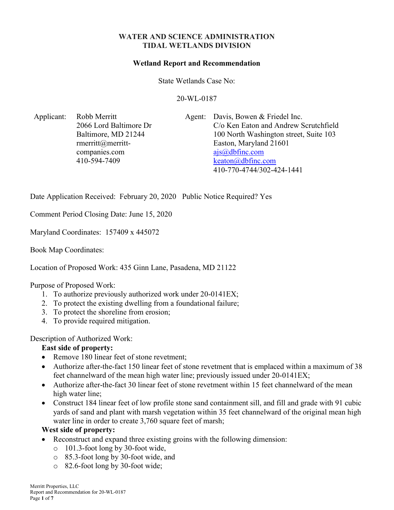### WATER AND SCIENCE ADMINISTRATION TIDAL WETLANDS DIVISION

#### Wetland Report and Recommendation

State Wetlands Case No:

20-WL-0187

Applicant: Robb Merritt 2066 Lord Baltimore Dr Baltimore, MD 21244 rmerritt@merrittcompanies.com 410-594-7409

Agent: Davis, Bowen & Friedel Inc. C/o Ken Eaton and Andrew Scrutchfield 100 North Washington street, Suite 103 Easton, Maryland 21601 ajs@dbfinc.com keaton@dbfinc.com 410-770-4744/302-424-1441

Date Application Received: February 20, 2020 Public Notice Required? Yes

Comment Period Closing Date: June 15, 2020

Maryland Coordinates: 157409 x 445072

Book Map Coordinates:

Location of Proposed Work: 435 Ginn Lane, Pasadena, MD 21122

#### Purpose of Proposed Work:

- 1. To authorize previously authorized work under 20-0141EX;
- 2. To protect the existing dwelling from a foundational failure;
- 3. To protect the shoreline from erosion;
- 4. To provide required mitigation.

### Description of Authorized Work:

### East side of property:

- Remove 180 linear feet of stone revetment;
- Authorize after-the-fact 150 linear feet of stone revetment that is emplaced within a maximum of 38 feet channelward of the mean high water line; previously issued under 20-0141EX;
- Authorize after-the-fact 30 linear feet of stone revetment within 15 feet channelward of the mean high water line;
- Construct 184 linear feet of low profile stone sand containment sill, and fill and grade with 91 cubic yards of sand and plant with marsh vegetation within 35 feet channelward of the original mean high water line in order to create 3,760 square feet of marsh;

#### West side of property:

- Reconstruct and expand three existing groins with the following dimension:
	- o 101.3-foot long by 30-foot wide,
	- o 85.3-foot long by 30-foot wide, and
	- o 82.6-foot long by 30-foot wide;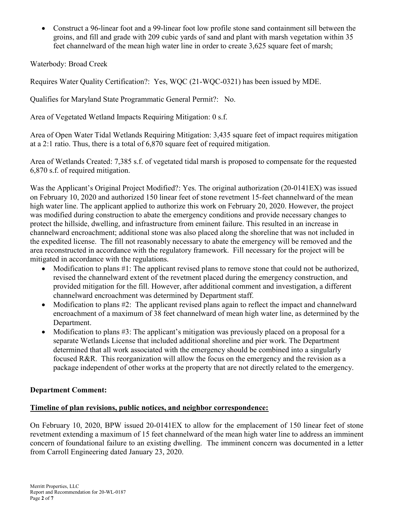Construct a 96-linear foot and a 99-linear foot low profile stone sand containment sill between the groins, and fill and grade with 209 cubic yards of sand and plant with marsh vegetation within 35 feet channelward of the mean high water line in order to create 3,625 square feet of marsh;

Waterbody: Broad Creek

Requires Water Quality Certification?: Yes, WQC (21-WQC-0321) has been issued by MDE.

Qualifies for Maryland State Programmatic General Permit?: No.

Area of Vegetated Wetland Impacts Requiring Mitigation: 0 s.f.

Area of Open Water Tidal Wetlands Requiring Mitigation: 3,435 square feet of impact requires mitigation at a 2:1 ratio. Thus, there is a total of 6,870 square feet of required mitigation.

Area of Wetlands Created: 7,385 s.f. of vegetated tidal marsh is proposed to compensate for the requested 6,870 s.f. of required mitigation.

Was the Applicant's Original Project Modified?: Yes. The original authorization (20-0141EX) was issued on February 10, 2020 and authorized 150 linear feet of stone revetment 15-feet channelward of the mean high water line. The applicant applied to authorize this work on February 20, 2020. However, the project was modified during construction to abate the emergency conditions and provide necessary changes to protect the hillside, dwelling, and infrastructure from eminent failure. This resulted in an increase in channelward encroachment; additional stone was also placed along the shoreline that was not included in the expedited license. The fill not reasonably necessary to abate the emergency will be removed and the area reconstructed in accordance with the regulatory framework. Fill necessary for the project will be mitigated in accordance with the regulations.

- Modification to plans #1: The applicant revised plans to remove stone that could not be authorized, revised the channelward extent of the revetment placed during the emergency construction, and provided mitigation for the fill. However, after additional comment and investigation, a different channelward encroachment was determined by Department staff.
- Modification to plans #2: The applicant revised plans again to reflect the impact and channelward encroachment of a maximum of 38 feet channelward of mean high water line, as determined by the Department.
- Modification to plans #3: The applicant's mitigation was previously placed on a proposal for a separate Wetlands License that included additional shoreline and pier work. The Department determined that all work associated with the emergency should be combined into a singularly focused R&R. This reorganization will allow the focus on the emergency and the revision as a package independent of other works at the property that are not directly related to the emergency.

### Department Comment:

### Timeline of plan revisions, public notices, and neighbor correspondence:

On February 10, 2020, BPW issued 20-0141EX to allow for the emplacement of 150 linear feet of stone revetment extending a maximum of 15 feet channelward of the mean high water line to address an imminent concern of foundational failure to an existing dwelling. The imminent concern was documented in a letter from Carroll Engineering dated January 23, 2020.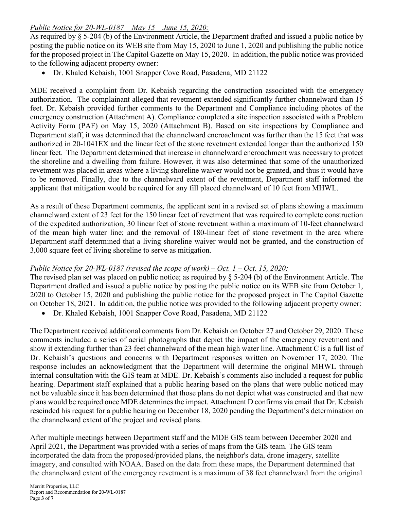## Public Notice for 20-WL-0187 – May 15 – June 15, 2020:

As required by § 5-204 (b) of the Environment Article, the Department drafted and issued a public notice by posting the public notice on its WEB site from May 15, 2020 to June 1, 2020 and publishing the public notice for the proposed project in The Capitol Gazette on May 15, 2020. In addition, the public notice was provided to the following adjacent property owner:

Dr. Khaled Kebaish, 1001 Snapper Cove Road, Pasadena, MD 21122

MDE received a complaint from Dr. Kebaish regarding the construction associated with the emergency authorization. The complainant alleged that revetment extended significantly further channelward than 15 feet. Dr. Kebaish provided further comments to the Department and Compliance including photos of the emergency construction (Attachment A). Compliance completed a site inspection associated with a Problem Activity Form (PAF) on May 15, 2020 (Attachment B). Based on site inspections by Compliance and Department staff, it was determined that the channelward encroachment was further than the 15 feet that was authorized in 20-1041EX and the linear feet of the stone revetment extended longer than the authorized 150 linear feet. The Department determined that increase in channelward encroachment was necessary to protect the shoreline and a dwelling from failure. However, it was also determined that some of the unauthorized revetment was placed in areas where a living shoreline waiver would not be granted, and thus it would have to be removed. Finally, due to the channelward extent of the revetment, Department staff informed the applicant that mitigation would be required for any fill placed channelward of 10 feet from MHWL.

As a result of these Department comments, the applicant sent in a revised set of plans showing a maximum channelward extent of 23 feet for the 150 linear feet of revetment that was required to complete construction of the expedited authorization, 30 linear feet of stone revetment within a maximum of 10-feet channelward of the mean high water line; and the removal of 180-linear feet of stone revetment in the area where Department staff determined that a living shoreline waiver would not be granted, and the construction of 3,000 square feet of living shoreline to serve as mitigation.

# Public Notice for 20-WL-0187 (revised the scope of work) – Oct.  $1 - Oct.$  15, 2020:

The revised plan set was placed on public notice; as required by § 5-204 (b) of the Environment Article. The Department drafted and issued a public notice by posting the public notice on its WEB site from October 1, 2020 to October 15, 2020 and publishing the public notice for the proposed project in The Capitol Gazette on October 18, 2021. In addition, the public notice was provided to the following adjacent property owner:

Dr. Khaled Kebaish, 1001 Snapper Cove Road, Pasadena, MD 21122

The Department received additional comments from Dr. Kebaish on October 27 and October 29, 2020. These comments included a series of aerial photographs that depict the impact of the emergency revetment and show it extending further than 23 feet channelward of the mean high water line. Attachment C is a full list of Dr. Kebaish's questions and concerns with Department responses written on November 17, 2020. The response includes an acknowledgment that the Department will determine the original MHWL through internal consultation with the GIS team at MDE. Dr. Kebaish's comments also included a request for public hearing. Department staff explained that a public hearing based on the plans that were public noticed may not be valuable since it has been determined that those plans do not depict what was constructed and that new plans would be required once MDE determines the impact. Attachment D confirms via email that Dr. Kebaish rescinded his request for a public hearing on December 18, 2020 pending the Department's determination on the channelward extent of the project and revised plans.

After multiple meetings between Department staff and the MDE GIS team between December 2020 and April 2021, the Department was provided with a series of maps from the GIS team. The GIS team incorporated the data from the proposed/provided plans, the neighbor's data, drone imagery, satellite imagery, and consulted with NOAA. Based on the data from these maps, the Department determined that the channelward extent of the emergency revetment is a maximum of 38 feet channelward from the original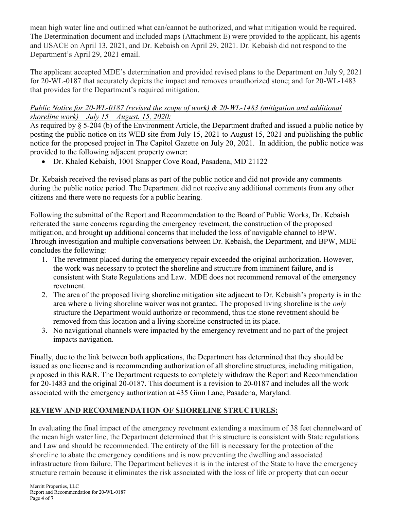mean high water line and outlined what can/cannot be authorized, and what mitigation would be required. The Determination document and included maps (Attachment E) were provided to the applicant, his agents and USACE on April 13, 2021, and Dr. Kebaish on April 29, 2021. Dr. Kebaish did not respond to the Department's April 29, 2021 email.

The applicant accepted MDE's determination and provided revised plans to the Department on July 9, 2021 for 20-WL-0187 that accurately depicts the impact and removes unauthorized stone; and for 20-WL-1483 that provides for the Department's required mitigation.

## Public Notice for 20-WL-0187 (revised the scope of work) & 20-WL-1483 (mitigation and additional shoreline work) – July 15 – August. 15, 2020:

As required by § 5-204 (b) of the Environment Article, the Department drafted and issued a public notice by posting the public notice on its WEB site from July 15, 2021 to August 15, 2021 and publishing the public notice for the proposed project in The Capitol Gazette on July 20, 2021. In addition, the public notice was provided to the following adjacent property owner:

Dr. Khaled Kebaish, 1001 Snapper Cove Road, Pasadena, MD 21122

Dr. Kebaish received the revised plans as part of the public notice and did not provide any comments during the public notice period. The Department did not receive any additional comments from any other citizens and there were no requests for a public hearing.

Following the submittal of the Report and Recommendation to the Board of Public Works, Dr. Kebaish reiterated the same concerns regarding the emergency revetment, the construction of the proposed mitigation, and brought up additional concerns that included the loss of navigable channel to BPW. Through investigation and multiple conversations between Dr. Kebaish, the Department, and BPW, MDE concludes the following:

- 1. The revetment placed during the emergency repair exceeded the original authorization. However, the work was necessary to protect the shoreline and structure from imminent failure, and is consistent with State Regulations and Law. MDE does not recommend removal of the emergency revetment.
- 2. The area of the proposed living shoreline mitigation site adjacent to Dr. Kebaish's property is in the area where a living shoreline waiver was not granted. The proposed living shoreline is the *only* structure the Department would authorize or recommend, thus the stone revetment should be removed from this location and a living shoreline constructed in its place.
- 3. No navigational channels were impacted by the emergency revetment and no part of the project impacts navigation.

Finally, due to the link between both applications, the Department has determined that they should be issued as one license and is recommending authorization of all shoreline structures, including mitigation, proposed in this R&R. The Department requests to completely withdraw the Report and Recommendation for 20-1483 and the original 20-0187. This document is a revision to 20-0187 and includes all the work associated with the emergency authorization at 435 Ginn Lane, Pasadena, Maryland.

# REVIEW AND RECOMMENDATION OF SHORELINE STRUCTURES:

In evaluating the final impact of the emergency revetment extending a maximum of 38 feet channelward of the mean high water line, the Department determined that this structure is consistent with State regulations and Law and should be recommended. The entirety of the fill is necessary for the protection of the shoreline to abate the emergency conditions and is now preventing the dwelling and associated infrastructure from failure. The Department believes it is in the interest of the State to have the emergency structure remain because it eliminates the risk associated with the loss of life or property that can occur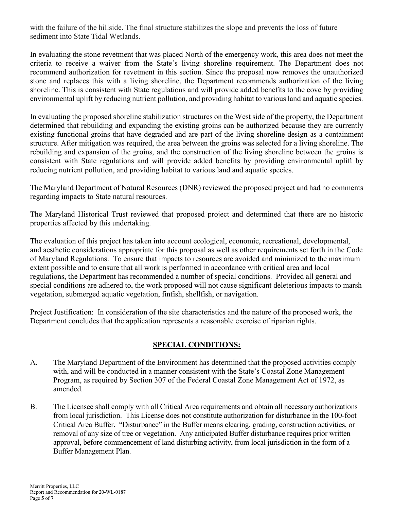with the failure of the hillside. The final structure stabilizes the slope and prevents the loss of future sediment into State Tidal Wetlands.

In evaluating the stone revetment that was placed North of the emergency work, this area does not meet the criteria to receive a waiver from the State's living shoreline requirement. The Department does not recommend authorization for revetment in this section. Since the proposal now removes the unauthorized stone and replaces this with a living shoreline, the Department recommends authorization of the living shoreline. This is consistent with State regulations and will provide added benefits to the cove by providing environmental uplift by reducing nutrient pollution, and providing habitat to various land and aquatic species.

In evaluating the proposed shoreline stabilization structures on the West side of the property, the Department determined that rebuilding and expanding the existing groins can be authorized because they are currently existing functional groins that have degraded and are part of the living shoreline design as a containment structure. After mitigation was required, the area between the groins was selected for a living shoreline. The rebuilding and expansion of the groins, and the construction of the living shoreline between the groins is consistent with State regulations and will provide added benefits by providing environmental uplift by reducing nutrient pollution, and providing habitat to various land and aquatic species.

The Maryland Department of Natural Resources (DNR) reviewed the proposed project and had no comments regarding impacts to State natural resources.

The Maryland Historical Trust reviewed that proposed project and determined that there are no historic properties affected by this undertaking.

The evaluation of this project has taken into account ecological, economic, recreational, developmental, and aesthetic considerations appropriate for this proposal as well as other requirements set forth in the Code of Maryland Regulations. To ensure that impacts to resources are avoided and minimized to the maximum extent possible and to ensure that all work is performed in accordance with critical area and local regulations, the Department has recommended a number of special conditions. Provided all general and special conditions are adhered to, the work proposed will not cause significant deleterious impacts to marsh vegetation, submerged aquatic vegetation, finfish, shellfish, or navigation.

Project Justification: In consideration of the site characteristics and the nature of the proposed work, the Department concludes that the application represents a reasonable exercise of riparian rights.

# SPECIAL CONDITIONS:

- A. The Maryland Department of the Environment has determined that the proposed activities comply with, and will be conducted in a manner consistent with the State's Coastal Zone Management Program, as required by Section 307 of the Federal Coastal Zone Management Act of 1972, as amended.
- B. The Licensee shall comply with all Critical Area requirements and obtain all necessary authorizations from local jurisdiction. This License does not constitute authorization for disturbance in the 100-foot Critical Area Buffer. "Disturbance" in the Buffer means clearing, grading, construction activities, or removal of any size of tree or vegetation. Any anticipated Buffer disturbance requires prior written approval, before commencement of land disturbing activity, from local jurisdiction in the form of a Buffer Management Plan.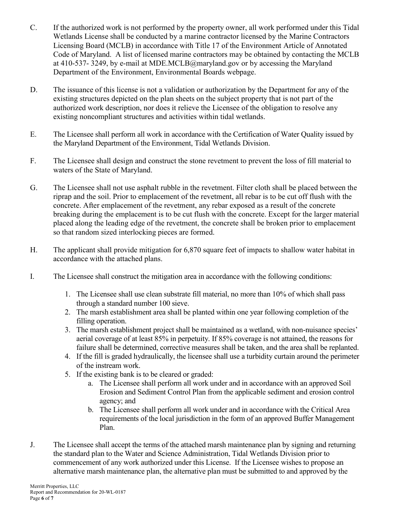- C. If the authorized work is not performed by the property owner, all work performed under this Tidal Wetlands License shall be conducted by a marine contractor licensed by the Marine Contractors Licensing Board (MCLB) in accordance with Title 17 of the Environment Article of Annotated Code of Maryland. A list of licensed marine contractors may be obtained by contacting the MCLB at 410-537- 3249, by e-mail at MDE.MCLB@maryland.gov or by accessing the Maryland Department of the Environment, Environmental Boards webpage.
- D. The issuance of this license is not a validation or authorization by the Department for any of the existing structures depicted on the plan sheets on the subject property that is not part of the authorized work description, nor does it relieve the Licensee of the obligation to resolve any existing noncompliant structures and activities within tidal wetlands.
- E. The Licensee shall perform all work in accordance with the Certification of Water Quality issued by the Maryland Department of the Environment, Tidal Wetlands Division.
- F. The Licensee shall design and construct the stone revetment to prevent the loss of fill material to waters of the State of Maryland.
- G. The Licensee shall not use asphalt rubble in the revetment. Filter cloth shall be placed between the riprap and the soil. Prior to emplacement of the revetment, all rebar is to be cut off flush with the concrete. After emplacement of the revetment, any rebar exposed as a result of the concrete breaking during the emplacement is to be cut flush with the concrete. Except for the larger material placed along the leading edge of the revetment, the concrete shall be broken prior to emplacement so that random sized interlocking pieces are formed.
- H. The applicant shall provide mitigation for 6,870 square feet of impacts to shallow water habitat in accordance with the attached plans.
- I. The Licensee shall construct the mitigation area in accordance with the following conditions:
	- 1. The Licensee shall use clean substrate fill material, no more than 10% of which shall pass through a standard number 100 sieve.
	- 2. The marsh establishment area shall be planted within one year following completion of the filling operation.
	- 3. The marsh establishment project shall be maintained as a wetland, with non-nuisance species' aerial coverage of at least 85% in perpetuity. If 85% coverage is not attained, the reasons for failure shall be determined, corrective measures shall be taken, and the area shall be replanted.
	- 4. If the fill is graded hydraulically, the licensee shall use a turbidity curtain around the perimeter of the instream work.
	- 5. If the existing bank is to be cleared or graded:
		- a. The Licensee shall perform all work under and in accordance with an approved Soil Erosion and Sediment Control Plan from the applicable sediment and erosion control agency; and
		- b. The Licensee shall perform all work under and in accordance with the Critical Area requirements of the local jurisdiction in the form of an approved Buffer Management Plan.
- J. The Licensee shall accept the terms of the attached marsh maintenance plan by signing and returning the standard plan to the Water and Science Administration, Tidal Wetlands Division prior to commencement of any work authorized under this License. If the Licensee wishes to propose an alternative marsh maintenance plan, the alternative plan must be submitted to and approved by the